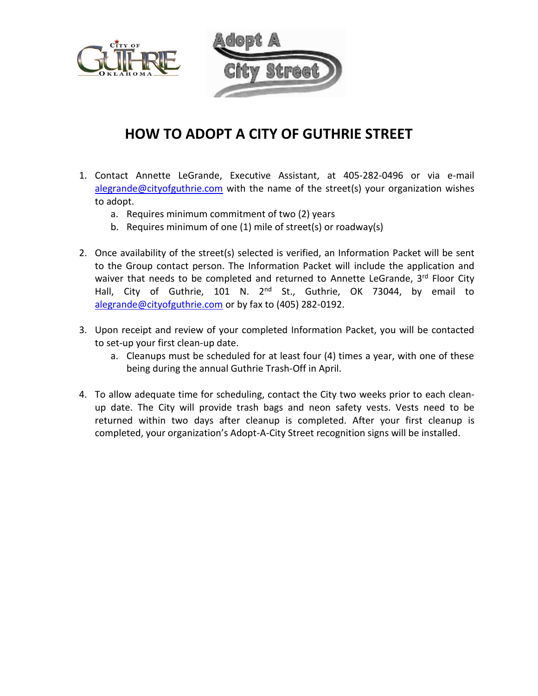

## **HOW TO ADOPT A CITY OF GUTHRIE STREET**

- 1. Contact Annette LeGrande, Executive Assistant, at 405-282-0496 or via e-mail [alegrande@cityofguthrie.com](mailto:alegrande@cityofguthrie.com) with the name of the street(s) your organization wishes to adopt.
	- a. Requires minimum commitment of two (2) years
	- b. Requires minimum of one (1) mile of street(s) or roadway(s)
- 2. Once availability of the street(s) selected is verified, an Information Packet will be sent to the Group contact person. The Information Packet will include the application and waiver that needs to be completed and returned to Annette LeGrande, 3rd Floor City Hall, City of Guthrie, 101 N. 2<sup>nd</sup> St., Guthrie, OK 73044, by email to [alegrande@cityofguthrie.com](mailto:alegrande@cityofguthrie.com) or by fax to (405) 282-0192.
- 3. Upon receipt and review of your completed Information Packet, you will be contacted to set-up your first clean-up date.
	- a. Cleanups must be scheduled for at least four (4) times a year, with one of these being during the annual Guthrie Trash-Off in April.
- 4. To allow adequate time for scheduling, contact the City two weeks prior to each cleanup date. The City will provide trash bags and neon safety vests. Vests need to be returned within two days after cleanup is completed. After your first cleanup is completed, your organization's Adopt-A-City Street recognition signs will be installed.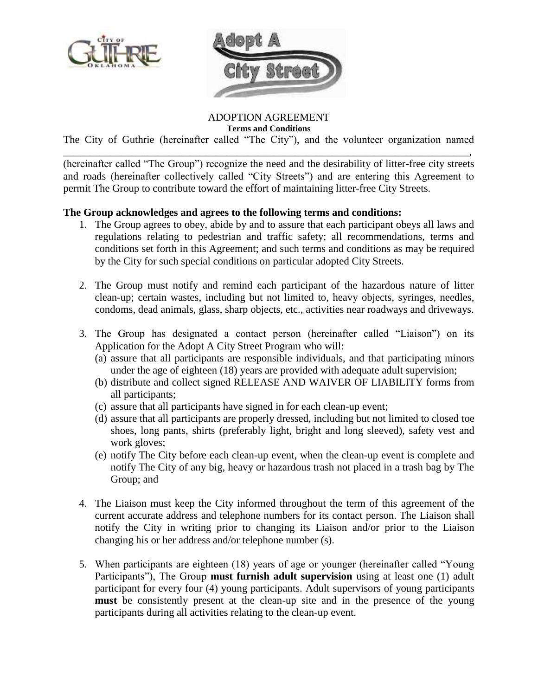



ADOPTION AGREEMENT

**Terms and Conditions**

The City of Guthrie (hereinafter called "The City"), and the volunteer organization named \_\_\_\_\_\_\_\_\_\_\_\_\_\_\_\_\_\_\_\_\_\_\_\_\_\_\_\_\_\_\_\_\_\_\_\_\_\_\_\_\_\_\_\_\_\_\_\_\_\_\_\_\_\_\_\_\_\_\_\_\_\_\_\_\_\_\_\_\_\_\_\_\_\_\_\_\_,

(hereinafter called "The Group") recognize the need and the desirability of litter-free city streets and roads (hereinafter collectively called "City Streets") and are entering this Agreement to permit The Group to contribute toward the effort of maintaining litter-free City Streets.

## **The Group acknowledges and agrees to the following terms and conditions:**

- 1. The Group agrees to obey, abide by and to assure that each participant obeys all laws and regulations relating to pedestrian and traffic safety; all recommendations, terms and conditions set forth in this Agreement; and such terms and conditions as may be required by the City for such special conditions on particular adopted City Streets.
- 2. The Group must notify and remind each participant of the hazardous nature of litter clean-up; certain wastes, including but not limited to, heavy objects, syringes, needles, condoms, dead animals, glass, sharp objects, etc., activities near roadways and driveways.
- 3. The Group has designated a contact person (hereinafter called "Liaison") on its Application for the Adopt A City Street Program who will:
	- (a) assure that all participants are responsible individuals, and that participating minors under the age of eighteen (18) years are provided with adequate adult supervision;
	- (b) distribute and collect signed RELEASE AND WAIVER OF LIABILITY forms from all participants;
	- (c) assure that all participants have signed in for each clean-up event;
	- (d) assure that all participants are properly dressed, including but not limited to closed toe shoes, long pants, shirts (preferably light, bright and long sleeved), safety vest and work gloves;
	- (e) notify The City before each clean-up event, when the clean-up event is complete and notify The City of any big, heavy or hazardous trash not placed in a trash bag by The Group; and
- 4. The Liaison must keep the City informed throughout the term of this agreement of the current accurate address and telephone numbers for its contact person. The Liaison shall notify the City in writing prior to changing its Liaison and/or prior to the Liaison changing his or her address and/or telephone number (s).
- 5. When participants are eighteen (18) years of age or younger (hereinafter called "Young Participants"), The Group **must furnish adult supervision** using at least one (1) adult participant for every four (4) young participants. Adult supervisors of young participants **must** be consistently present at the clean-up site and in the presence of the young participants during all activities relating to the clean-up event.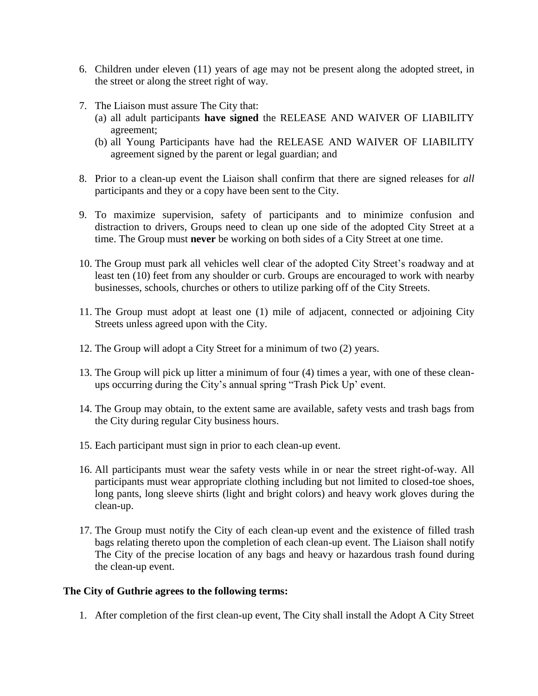- 6. Children under eleven (11) years of age may not be present along the adopted street, in the street or along the street right of way.
- 7. The Liaison must assure The City that:
	- (a) all adult participants **have signed** the RELEASE AND WAIVER OF LIABILITY agreement;
	- (b) all Young Participants have had the RELEASE AND WAIVER OF LIABILITY agreement signed by the parent or legal guardian; and
- 8. Prior to a clean-up event the Liaison shall confirm that there are signed releases for *all* participants and they or a copy have been sent to the City.
- 9. To maximize supervision, safety of participants and to minimize confusion and distraction to drivers, Groups need to clean up one side of the adopted City Street at a time. The Group must **never** be working on both sides of a City Street at one time.
- 10. The Group must park all vehicles well clear of the adopted City Street's roadway and at least ten (10) feet from any shoulder or curb. Groups are encouraged to work with nearby businesses, schools, churches or others to utilize parking off of the City Streets.
- 11. The Group must adopt at least one (1) mile of adjacent, connected or adjoining City Streets unless agreed upon with the City.
- 12. The Group will adopt a City Street for a minimum of two (2) years.
- 13. The Group will pick up litter a minimum of four (4) times a year, with one of these cleanups occurring during the City's annual spring "Trash Pick Up' event.
- 14. The Group may obtain, to the extent same are available, safety vests and trash bags from the City during regular City business hours.
- 15. Each participant must sign in prior to each clean-up event.
- 16. All participants must wear the safety vests while in or near the street right-of-way. All participants must wear appropriate clothing including but not limited to closed-toe shoes, long pants, long sleeve shirts (light and bright colors) and heavy work gloves during the clean-up.
- 17. The Group must notify the City of each clean-up event and the existence of filled trash bags relating thereto upon the completion of each clean-up event. The Liaison shall notify The City of the precise location of any bags and heavy or hazardous trash found during the clean-up event.

## **The City of Guthrie agrees to the following terms:**

1. After completion of the first clean-up event, The City shall install the Adopt A City Street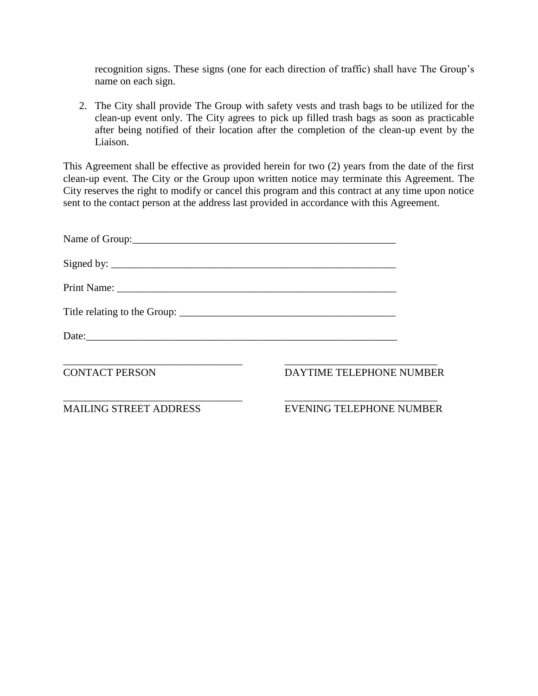recognition signs. These signs (one for each direction of traffic) shall have The Group's name on each sign.

2. The City shall provide The Group with safety vests and trash bags to be utilized for the clean-up event only. The City agrees to pick up filled trash bags as soon as practicable after being notified of their location after the completion of the clean-up event by the Liaison.

This Agreement shall be effective as provided herein for two (2) years from the date of the first clean-up event. The City or the Group upon written notice may terminate this Agreement. The City reserves the right to modify or cancel this program and this contract at any time upon notice sent to the contact person at the address last provided in accordance with this Agreement.

| Signed by: $\frac{1}{\sqrt{1-\frac{1}{2}}\sqrt{1-\frac{1}{2}}\sqrt{1-\frac{1}{2}}\sqrt{1-\frac{1}{2}}\sqrt{1-\frac{1}{2}}\sqrt{1-\frac{1}{2}}\sqrt{1-\frac{1}{2}}\sqrt{1-\frac{1}{2}}\sqrt{1-\frac{1}{2}}\sqrt{1-\frac{1}{2}}\sqrt{1-\frac{1}{2}}\sqrt{1-\frac{1}{2}}\sqrt{1-\frac{1}{2}}\sqrt{1-\frac{1}{2}}\sqrt{1-\frac{1}{2}}\sqrt{1-\frac{1}{2}}\sqrt{1-\frac{1}{2}}\sqrt{1-\frac{1}{2}}\sqrt{1-\frac$ |                                 |
|-------------------------------------------------------------------------------------------------------------------------------------------------------------------------------------------------------------------------------------------------------------------------------------------------------------------------------------------------------------------------------------------------------------|---------------------------------|
|                                                                                                                                                                                                                                                                                                                                                                                                             |                                 |
|                                                                                                                                                                                                                                                                                                                                                                                                             |                                 |
|                                                                                                                                                                                                                                                                                                                                                                                                             |                                 |
| <b>CONTACT PERSON</b>                                                                                                                                                                                                                                                                                                                                                                                       | DAYTIME TELEPHONE NUMBER        |
| <b>MAILING STREET ADDRESS</b>                                                                                                                                                                                                                                                                                                                                                                               | <b>EVENING TELEPHONE NUMBER</b> |
|                                                                                                                                                                                                                                                                                                                                                                                                             |                                 |